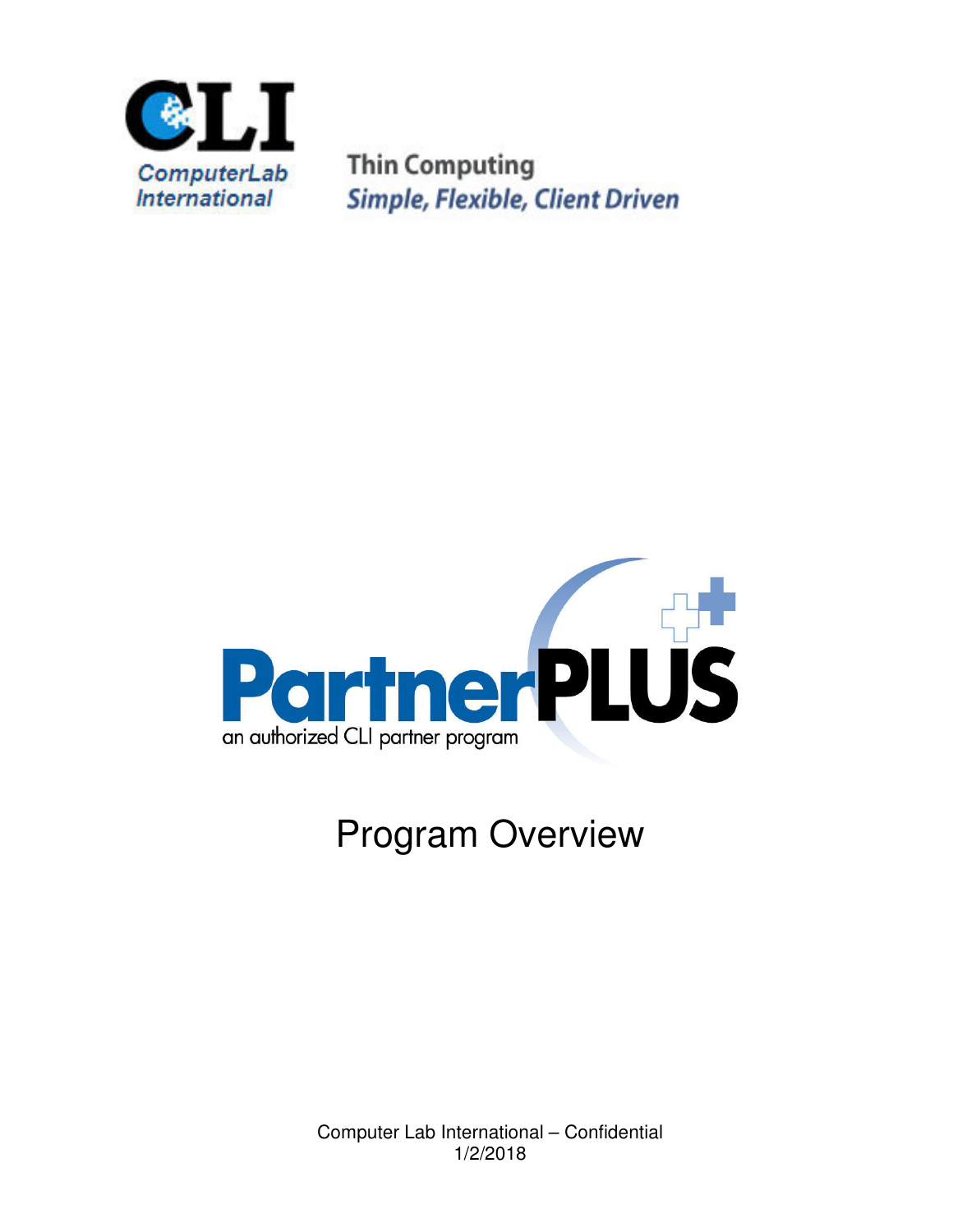

**Thin Computing Simple, Flexible, Client Driven** 



## Program Overview

Computer Lab International – Confidential 1/2/2018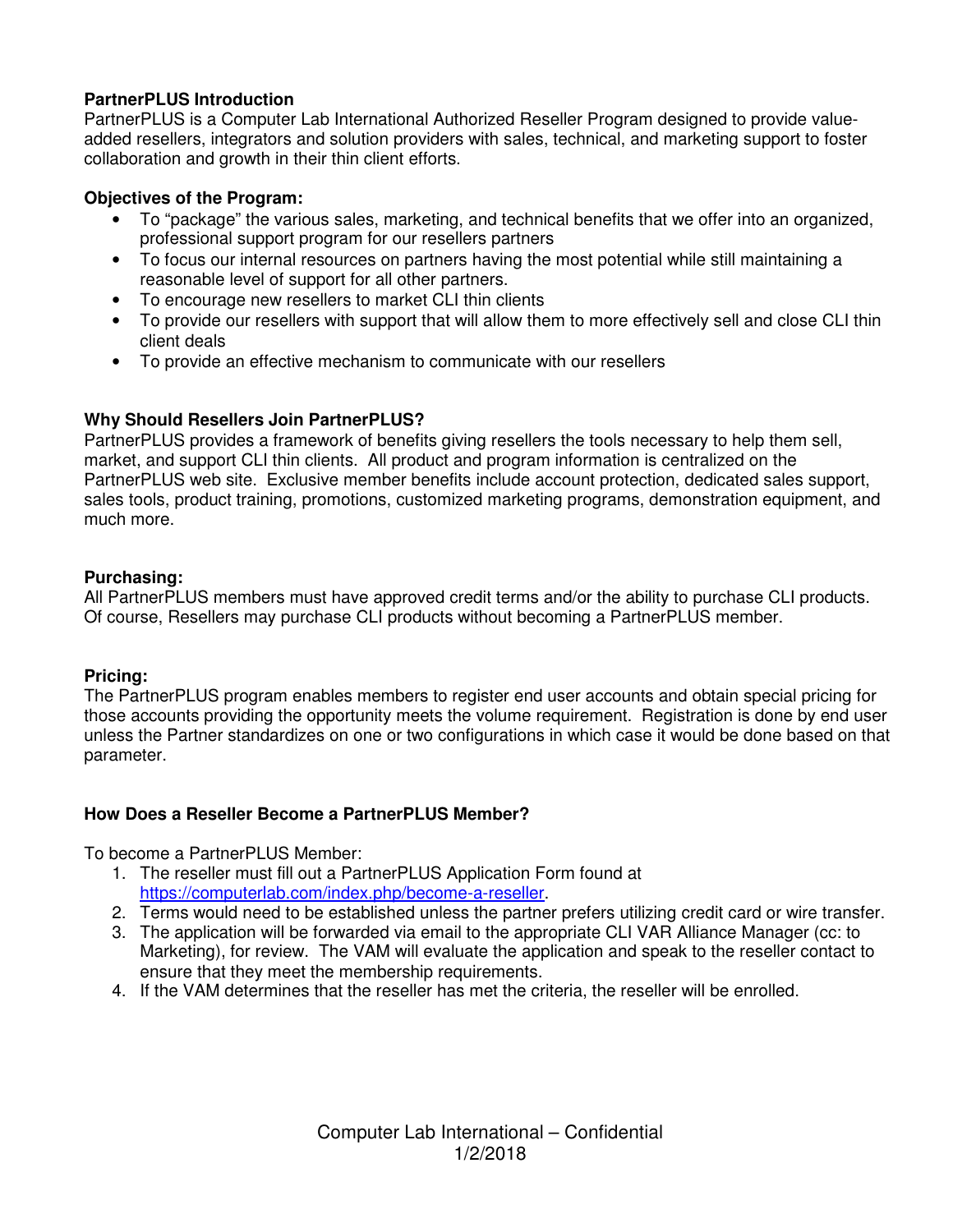### **PartnerPLUS Introduction**

PartnerPLUS is a Computer Lab International Authorized Reseller Program designed to provide valueadded resellers, integrators and solution providers with sales, technical, and marketing support to foster collaboration and growth in their thin client efforts.

### **Objectives of the Program:**

- To "package" the various sales, marketing, and technical benefits that we offer into an organized, professional support program for our resellers partners
- To focus our internal resources on partners having the most potential while still maintaining a reasonable level of support for all other partners.
- To encourage new resellers to market CLI thin clients
- To provide our resellers with support that will allow them to more effectively sell and close CLI thin client deals
- To provide an effective mechanism to communicate with our resellers

### **Why Should Resellers Join PartnerPLUS?**

PartnerPLUS provides a framework of benefits giving resellers the tools necessary to help them sell, market, and support CLI thin clients. All product and program information is centralized on the PartnerPLUS web site. Exclusive member benefits include account protection, dedicated sales support, sales tools, product training, promotions, customized marketing programs, demonstration equipment, and much more.

### **Purchasing:**

All PartnerPLUS members must have approved credit terms and/or the ability to purchase CLI products. Of course, Resellers may purchase CLI products without becoming a PartnerPLUS member.

#### **Pricing:**

The PartnerPLUS program enables members to register end user accounts and obtain special pricing for those accounts providing the opportunity meets the volume requirement. Registration is done by end user unless the Partner standardizes on one or two configurations in which case it would be done based on that parameter.

### **How Does a Reseller Become a PartnerPLUS Member?**

To become a PartnerPLUS Member:

- 1. The reseller must fill out a PartnerPLUS Application Form found at https://computerlab.com/index.php/become-a-reseller.
- 2. Terms would need to be established unless the partner prefers utilizing credit card or wire transfer.
- 3. The application will be forwarded via email to the appropriate CLI VAR Alliance Manager (cc: to Marketing), for review. The VAM will evaluate the application and speak to the reseller contact to ensure that they meet the membership requirements.
- 4. If the VAM determines that the reseller has met the criteria, the reseller will be enrolled.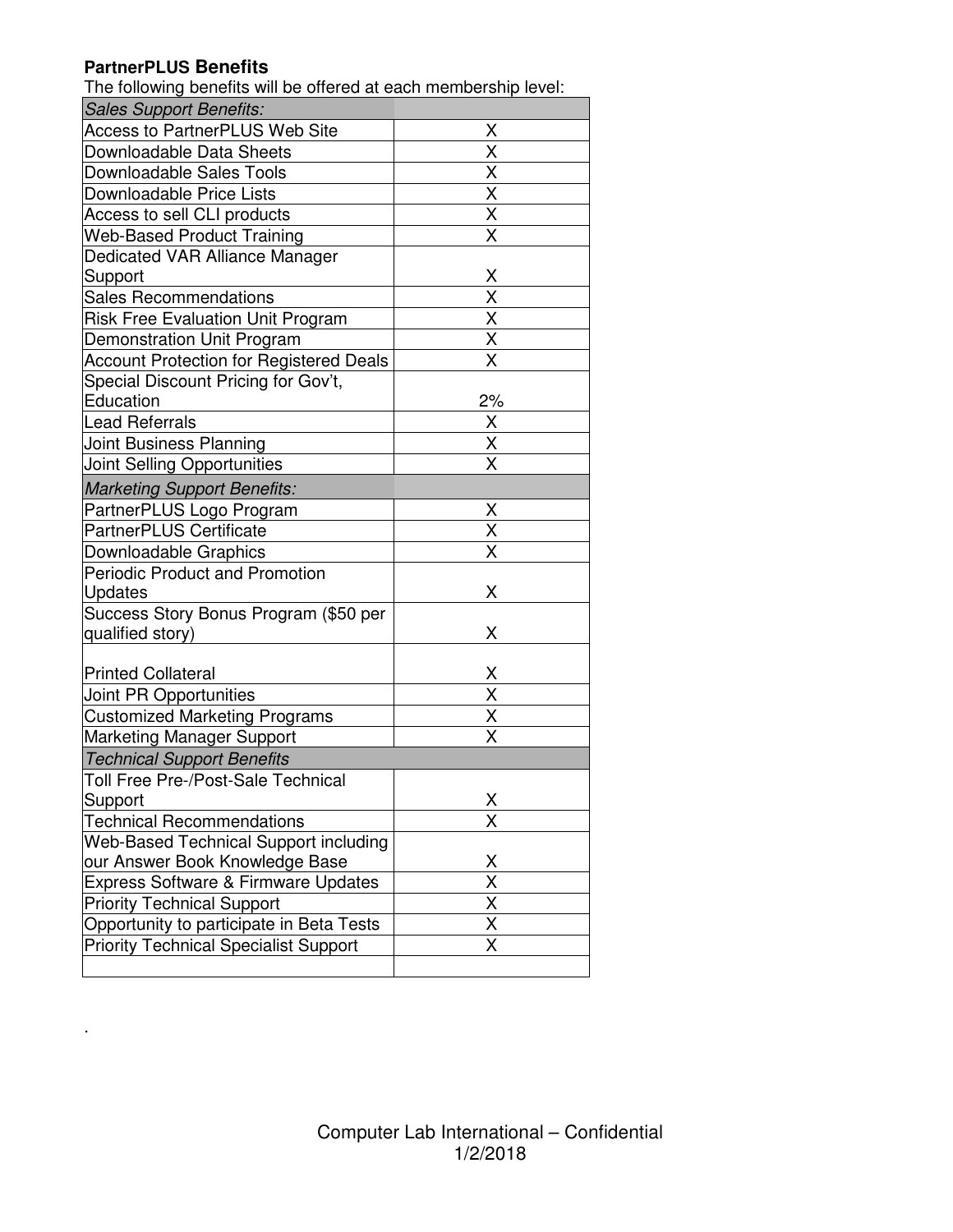### **PartnerPLUS Benefits**

.

The following benefits will be offered at each membership level:

| <b>Sales Support Benefits:</b>                 |                                     |
|------------------------------------------------|-------------------------------------|
| <b>Access to PartnerPLUS Web Site</b>          | Χ                                   |
| Downloadable Data Sheets                       | $\overline{\mathsf{x}}$             |
| Downloadable Sales Tools                       |                                     |
| Downloadable Price Lists                       | $\frac{\overline{X}}{\overline{X}}$ |
| Access to sell CLI products                    | $\overline{\mathsf{X}}$             |
| <b>Web-Based Product Training</b>              | $\overline{\mathsf{x}}$             |
| Dedicated VAR Alliance Manager                 |                                     |
| Support                                        | Χ                                   |
| <b>Sales Recommendations</b>                   | $\overline{\mathsf{x}}$             |
| <b>Risk Free Evaluation Unit Program</b>       | $\overline{\mathsf{x}}$             |
| Demonstration Unit Program                     | X                                   |
| <b>Account Protection for Registered Deals</b> | X                                   |
| Special Discount Pricing for Gov't,            |                                     |
| Education                                      | 2%                                  |
| <b>Lead Referrals</b>                          | $rac{X}{X}$                         |
| Joint Business Planning                        |                                     |
| Joint Selling Opportunities                    |                                     |
| <b>Marketing Support Benefits:</b>             |                                     |
| PartnerPLUS Logo Program                       |                                     |
| <b>PartnerPLUS Certificate</b>                 | $\frac{X}{X}$                       |
| Downloadable Graphics                          |                                     |
| <b>Periodic Product and Promotion</b>          |                                     |
| Updates                                        | Χ                                   |
| Success Story Bonus Program (\$50 per          |                                     |
| qualified story)                               | Χ                                   |
|                                                |                                     |
| <b>Printed Collateral</b>                      | $\frac{X}{X}$<br>$\frac{X}{X}$      |
| Joint PR Opportunities                         |                                     |
| <b>Customized Marketing Programs</b>           |                                     |
| <b>Marketing Manager Support</b>               |                                     |
| <b>Technical Support Benefits</b>              |                                     |
| <b>Toll Free Pre-/Post-Sale Technical</b>      |                                     |
| Support                                        | X                                   |
| <b>Technical Recommendations</b>               | $\overline{\mathsf{x}}$             |
| Web-Based Technical Support including          |                                     |
| our Answer Book Knowledge Base                 | $\frac{\mathsf{X}}{\mathsf{X}}$     |
| Express Software & Firmware Updates            |                                     |
| <b>Priority Technical Support</b>              | $\overline{\mathsf{X}}$             |
| Opportunity to participate in Beta Tests       | $\overline{\mathsf{x}}$             |
| <b>Priority Technical Specialist Support</b>   | Χ                                   |
|                                                |                                     |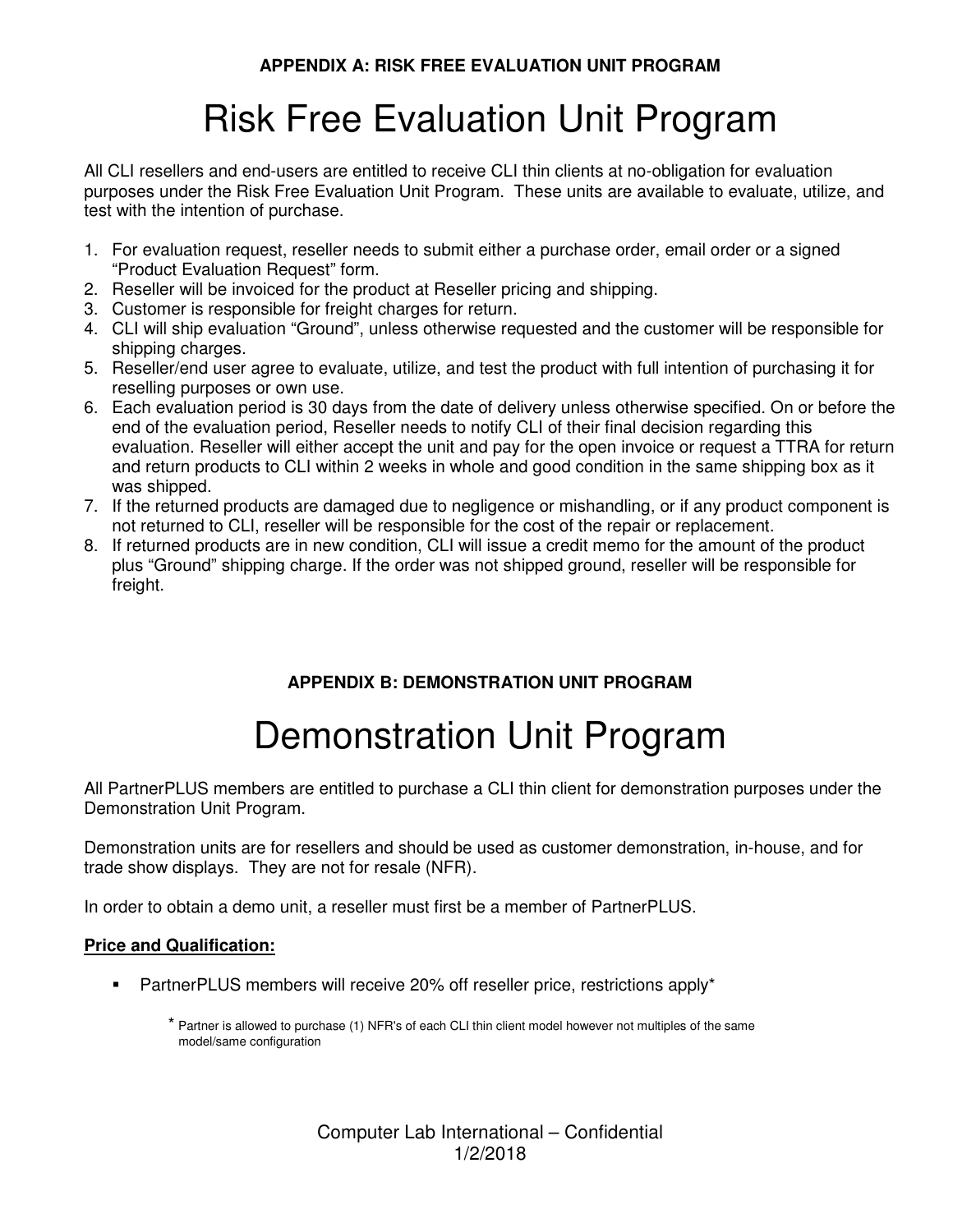# Risk Free Evaluation Unit Program

All CLI resellers and end-users are entitled to receive CLI thin clients at no-obligation for evaluation purposes under the Risk Free Evaluation Unit Program. These units are available to evaluate, utilize, and test with the intention of purchase.

- 1. For evaluation request, reseller needs to submit either a purchase order, email order or a signed "Product Evaluation Request" form.
- 2. Reseller will be invoiced for the product at Reseller pricing and shipping.
- 3. Customer is responsible for freight charges for return.
- 4. CLI will ship evaluation "Ground", unless otherwise requested and the customer will be responsible for shipping charges.
- 5. Reseller/end user agree to evaluate, utilize, and test the product with full intention of purchasing it for reselling purposes or own use.
- 6. Each evaluation period is 30 days from the date of delivery unless otherwise specified. On or before the end of the evaluation period, Reseller needs to notify CLI of their final decision regarding this evaluation. Reseller will either accept the unit and pay for the open invoice or request a TTRA for return and return products to CLI within 2 weeks in whole and good condition in the same shipping box as it was shipped.
- 7. If the returned products are damaged due to negligence or mishandling, or if any product component is not returned to CLI, reseller will be responsible for the cost of the repair or replacement.
- 8. If returned products are in new condition, CLI will issue a credit memo for the amount of the product plus "Ground" shipping charge. If the order was not shipped ground, reseller will be responsible for freight.

### **APPENDIX B: DEMONSTRATION UNIT PROGRAM**

# Demonstration Unit Program

All PartnerPLUS members are entitled to purchase a CLI thin client for demonstration purposes under the Demonstration Unit Program.

Demonstration units are for resellers and should be used as customer demonstration, in-house, and for trade show displays. They are not for resale (NFR).

In order to obtain a demo unit, a reseller must first be a member of PartnerPLUS.

### **Price and Qualification:**

- PartnerPLUS members will receive 20% off reseller price, restrictions apply\*
	- \* Partner is allowed to purchase (1) NFR's of each CLI thin client model however not multiples of the same model/same configuration

Computer Lab International – Confidential 1/2/2018